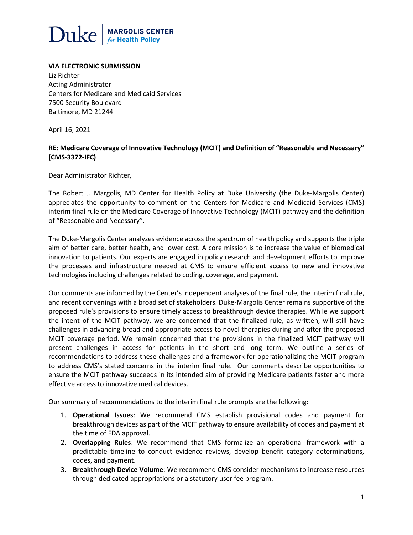

#### **VIA ELECTRONIC SUBMISSION**

Liz Richter Acting Administrator Centers for Medicare and Medicaid Services 7500 Security Boulevard Baltimore, MD 21244

April 16, 2021

### **RE: Medicare Coverage of Innovative Technology (MCIT) and Definition of "Reasonable and Necessary" (CMS-3372-IFC)**

Dear Administrator Richter,

The Robert J. Margolis, MD Center for Health Policy at Duke University (the Duke-Margolis Center) appreciates the opportunity to comment on the Centers for Medicare and Medicaid Services (CMS) interim final rule on the Medicare Coverage of Innovative Technology (MCIT) pathway and the definition of "Reasonable and Necessary".

The Duke-Margolis Center analyzes evidence across the spectrum of health policy and supports the triple aim of better care, better health, and lower cost. A core mission is to increase the value of biomedical innovation to patients. Our experts are engaged in policy research and development efforts to improve the processes and infrastructure needed at CMS to ensure efficient access to new and innovative technologies including challenges related to coding, coverage, and payment.

Our comments are informed by the Center's independent analyses of the final rule, the interim final rule, and recent convenings with a broad set of stakeholders. Duke-Margolis Center remains supportive of the proposed rule's provisions to ensure timely access to breakthrough device therapies. While we support the intent of the MCIT pathway, we are concerned that the finalized rule, as written, will still have challenges in advancing broad and appropriate access to novel therapies during and after the proposed MCIT coverage period. We remain concerned that the provisions in the finalized MCIT pathway will present challenges in access for patients in the short and long term. We outline a series of recommendations to address these challenges and a framework for operationalizing the MCIT program to address CMS's stated concerns in the interim final rule. Our comments describe opportunities to ensure the MCIT pathway succeeds in its intended aim of providing Medicare patients faster and more effective access to innovative medical devices.

Our summary of recommendations to the interim final rule prompts are the following:

- 1. **Operational Issues**: We recommend CMS establish provisional codes and payment for breakthrough devices as part of the MCIT pathway to ensure availability of codes and payment at the time of FDA approval.
- 2. **Overlapping Rules**: We recommend that CMS formalize an operational framework with a predictable timeline to conduct evidence reviews, develop benefit category determinations, codes, and payment.
- 3. **Breakthrough Device Volume**: We recommend CMS consider mechanisms to increase resources through dedicated appropriations or a statutory user fee program.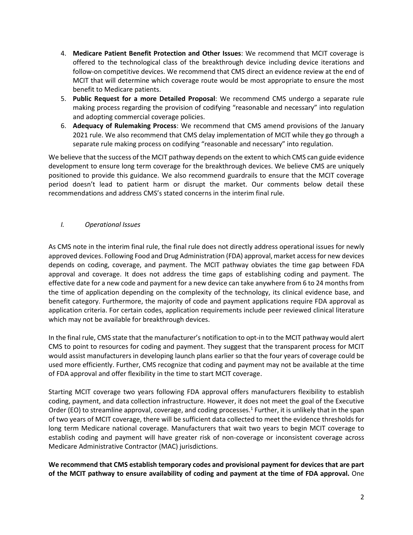- 4. **Medicare Patient Benefit Protection and Other Issues**: We recommend that MCIT coverage is offered to the technological class of the breakthrough device including device iterations and follow-on competitive devices. We recommend that CMS direct an evidence review at the end of MCIT that will determine which coverage route would be most appropriate to ensure the most benefit to Medicare patients.
- 5. **Public Request for a more Detailed Proposal**: We recommend CMS undergo a separate rule making process regarding the provision of codifying "reasonable and necessary" into regulation and adopting commercial coverage policies.
- 6. **Adequacy of Rulemaking Process**: We recommend that CMS amend provisions of the January 2021 rule. We also recommend that CMS delay implementation of MCIT while they go through a separate rule making process on codifying "reasonable and necessary" into regulation.

We believe that the success of the MCIT pathway depends on the extent to which CMS can guide evidence development to ensure long term coverage for the breakthrough devices. We believe CMS are uniquely positioned to provide this guidance. We also recommend guardrails to ensure that the MCIT coverage period doesn't lead to patient harm or disrupt the market. Our comments below detail these recommendations and address CMS's stated concerns in the interim final rule.

# *I. Operational Issues*

As CMS note in the interim final rule, the final rule does not directly address operational issues for newly approved devices. Following Food and Drug Administration (FDA) approval, market access for new devices depends on coding, coverage, and payment. The MCIT pathway obviates the time gap between FDA approval and coverage. It does not address the time gaps of establishing coding and payment. The effective date for a new code and payment for a new device can take anywhere from 6 to 24 months from the time of application depending on the complexity of the technology, its clinical evidence base, and benefit category. Furthermore, the majority of code and payment applications require FDA approval as application criteria. For certain codes, application requirements include peer reviewed clinical literature which may not be available for breakthrough devices.

In the final rule, CMS state that the manufacturer's notification to opt-in to the MCIT pathway would alert CMS to point to resources for coding and payment. They suggest that the transparent process for MCIT would assist manufacturers in developing launch plans earlier so that the four years of coverage could be used more efficiently. Further, CMS recognize that coding and payment may not be available at the time of FDA approval and offer flexibility in the time to start MCIT coverage.

Starting MCIT coverage two years following FDA approval offers manufacturers flexibility to establish coding, payment, and data collection infrastructure. However, it does not meet the goal of the Executive Order (EO) to streamline approval, coverage, and coding processes.<sup>1</sup> Further, it is unlikely that in the span of two years of MCIT coverage, there will be sufficient data collected to meet the evidence thresholds for long term Medicare national coverage. Manufacturers that wait two years to begin MCIT coverage to establish coding and payment will have greater risk of non-coverage or inconsistent coverage across Medicare Administrative Contractor (MAC) jurisdictions.

**We recommend that CMS establish temporary codes and provisional payment for devices that are part of the MCIT pathway to ensure availability of coding and payment at the time of FDA approval.** One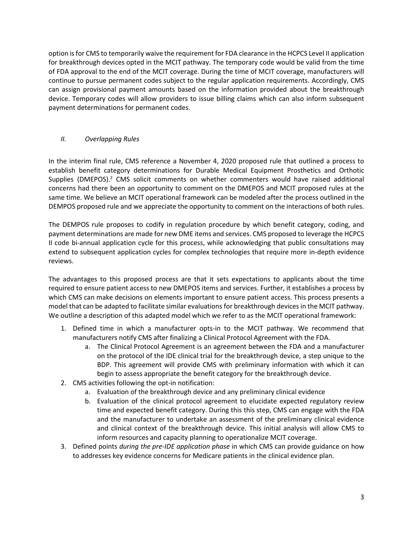option is for CMS to temporarily waive the requirement for FDA clearance in the HCPCS Level II application for breakthrough devices opted in the MCIT pathway. The temporary code would be valid from the time of FDA approval to the end of the MCIT coverage. During the time of MCIT coverage, manufacturers will continue to pursue permanent codes subject to the regular application requirements. Accordingly, CMS can assign provisional payment amounts based on the information provided about the breakthrough device. Temporary codes will allow providers to issue billing claims which can also inform subsequent payment determinations for permanent codes.

# *II. Overlapping Rules*

In the interim final rule, CMS reference a November 4, 2020 proposed rule that outlined a process to establish benefit category determinations for Durable Medical Equipment Prosthetics and Orthotic Supplies (DMEPOS). $<sup>2</sup>$  CMS solicit comments on whether commenters would have raised additional</sup> concerns had there been an opportunity to comment on the DMEPOS and MCIT proposed rules at the same time. We believe an MCIT operational framework can be modeled after the process outlined in the DEMPOS proposed rule and we appreciate the opportunity to comment on the interactions of both rules.

The DEMPOS rule proposes to codify in regulation procedure by which benefit category, coding, and payment determinations are made for new DME items and services. CMS proposed to leverage the HCPCS II code bi-annual application cycle for this process, while acknowledging that public consultations may extend to subsequent application cycles for complex technologies that require more in-depth evidence reviews.

The advantages to this proposed process are that it sets expectations to applicants about the time required to ensure patient access to new DMEPOS items and services. Further, it establishes a process by which CMS can make decisions on elements important to ensure patient access. This process presents a model that can be adapted to facilitate similar evaluations for breakthrough devices in the MCIT pathway. We outline a description of this adapted model which we refer to as the MCIT operational framework:

- 1. Defined time in which a manufacturer opts-in to the MCIT pathway. We recommend that manufacturers notify CMS after finalizing a Clinical Protocol Agreement with the FDA.
	- a. The Clinical Protocol Agreement is an agreement between the FDA and a manufacturer on the protocol of the IDE clinical trial for the breakthrough device, a step unique to the BDP. This agreement will provide CMS with preliminary information with which it can begin to assess appropriate the benefit category for the breakthrough device.
- 2. CMS activities following the opt-in notification:
	- a. Evaluation of the breakthrough device and any preliminary clinical evidence
	- b. Evaluation of the clinical protocol agreement to elucidate expected regulatory review time and expected benefit category. During this this step, CMS can engage with the FDA and the manufacturer to undertake an assessment of the preliminary clinical evidence and clinical context of the breakthrough device. This initial analysis will allow CMS to inform resources and capacity planning to operationalize MCIT coverage.
- 3. Defined points *during the pre-IDE application phase* in which CMS can provide guidance on how to addresses key evidence concerns for Medicare patients in the clinical evidence plan.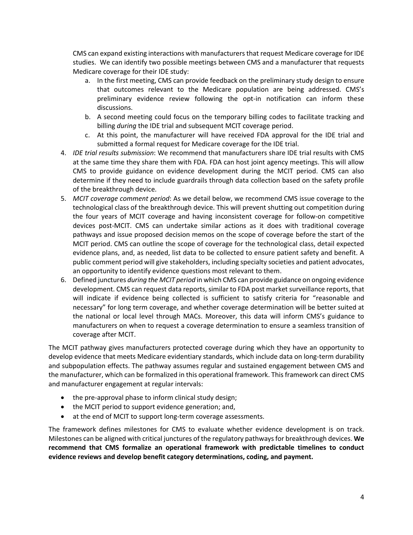CMS can expand existing interactions with manufacturers that request Medicare coverage for IDE studies. We can identify two possible meetings between CMS and a manufacturer that requests Medicare coverage for their IDE study:

- a. In the first meeting, CMS can provide feedback on the preliminary study design to ensure that outcomes relevant to the Medicare population are being addressed. CMS's preliminary evidence review following the opt-in notification can inform these discussions.
- b. A second meeting could focus on the temporary billing codes to facilitate tracking and billing *during* the IDE trial and subsequent MCIT coverage period.
- c. At this point, the manufacturer will have received FDA approval for the IDE trial and submitted a formal request for Medicare coverage for the IDE trial.
- 4. *IDE trial results submission*: We recommend that manufacturers share IDE trial results with CMS at the same time they share them with FDA. FDA can host joint agency meetings. This will allow CMS to provide guidance on evidence development during the MCIT period. CMS can also determine if they need to include guardrails through data collection based on the safety profile of the breakthrough device.
- 5. *MCIT coverage comment period*: As we detail below, we recommend CMS issue coverage to the technological class of the breakthrough device. This will prevent shutting out competition during the four years of MCIT coverage and having inconsistent coverage for follow-on competitive devices post-MCIT. CMS can undertake similar actions as it does with traditional coverage pathways and issue proposed decision memos on the scope of coverage before the start of the MCIT period. CMS can outline the scope of coverage for the technological class, detail expected evidence plans, and, as needed, list data to be collected to ensure patient safety and benefit. A public comment period will give stakeholders, including specialty societies and patient advocates, an opportunity to identify evidence questions most relevant to them.
- 6. Defined junctures *during the MCIT period* in which CMS can provide guidance on ongoing evidence development. CMS can request data reports, similar to FDA post market surveillance reports, that will indicate if evidence being collected is sufficient to satisfy criteria for "reasonable and necessary" for long term coverage, and whether coverage determination will be better suited at the national or local level through MACs. Moreover, this data will inform CMS's guidance to manufacturers on when to request a coverage determination to ensure a seamless transition of coverage after MCIT.

The MCIT pathway gives manufacturers protected coverage during which they have an opportunity to develop evidence that meets Medicare evidentiary standards, which include data on long-term durability and subpopulation effects. The pathway assumes regular and sustained engagement between CMS and the manufacturer, which can be formalized in this operational framework. This framework can direct CMS and manufacturer engagement at regular intervals:

- the pre-approval phase to inform clinical study design;
- the MCIT period to support evidence generation; and,
- at the end of MCIT to support long-term coverage assessments.

The framework defines milestones for CMS to evaluate whether evidence development is on track. Milestones can be aligned with critical junctures of the regulatory pathways for breakthrough devices. **We recommend that CMS formalize an operational framework with predictable timelines to conduct evidence reviews and develop benefit category determinations, coding, and payment.**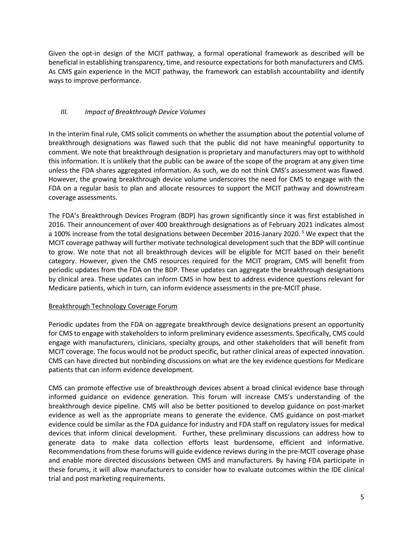Given the opt-in design of the MCIT pathway, a formal operational framework as described will be beneficial in establishing transparency, time, and resource expectations for both manufacturers and CMS. As CMS gain experience in the MCIT pathway, the framework can establish accountability and identify ways to improve performance.

# *III. Impact of Breakthrough Device Volumes*

In the interim final rule, CMS solicit comments on whether the assumption about the potential volume of breakthrough designations was flawed such that the public did not have meaningful opportunity to comment. We note that breakthrough designation is proprietary and manufacturers may opt to withhold this information. It is unlikely that the public can be aware of the scope of the program at any given time unless the FDA shares aggregated information. As such, we do not think CMS's assessment was flawed. However, the growing breakthrough device volume underscores the need for CMS to engage with the FDA on a regular basis to plan and allocate resources to support the MCIT pathway and downstream coverage assessments.

The FDA's Breakthrough Devices Program (BDP) has grown significantly since it was first established in 2016. Their announcement of over 400 breakthrough designations as of February 2021 indicates almost a 100% increase from the total designations between December 2016-Janary 2020.<sup>3</sup> We expect that the MCIT coverage pathway will further motivate technological development such that the BDP will continue to grow. We note that not all breakthrough devices will be eligible for MCIT based on their benefit category. However, given the CMS resources required for the MCIT program, CMS will benefit from periodic updates from the FDA on the BDP. These updates can aggregate the breakthrough designations by clinical area. These updates can inform CMS in how best to address evidence questions relevant for Medicare patients, which in turn, can inform evidence assessments in the pre-MCIT phase.

### Breakthrough Technology Coverage Forum

Periodic updates from the FDA on aggregate breakthrough device designations present an opportunity for CMS to engage with stakeholders to inform preliminary evidence assessments. Specifically, CMS could engage with manufacturers, clinicians, specialty groups, and other stakeholders that will benefit from MCIT coverage. The focus would not be product specific, but rather clinical areas of expected innovation. CMS can have directed but nonbinding discussions on what are the key evidence questions for Medicare patients that can inform evidence development.

CMS can promote effective use of breakthrough devices absent a broad clinical evidence base through informed guidance on evidence generation. This forum will increase CMS's understanding of the breakthrough device pipeline. CMS will also be better positioned to develop guidance on post-market evidence as well as the appropriate means to generate the evidence. CMS guidance on post-market evidence could be similar as the FDA guidance for industry and FDA staff on regulatory issues for medical devices that inform clinical development. Further, these preliminary discussions can address how to generate data to make data collection efforts least burdensome, efficient and informative. Recommendations from these forums will guide evidence reviews during in the pre-MCIT coverage phase and enable more directed discussions between CMS and manufacturers. By having FDA participate in these forums, it will allow manufacturers to consider how to evaluate outcomes within the IDE clinical trial and post marketing requirements.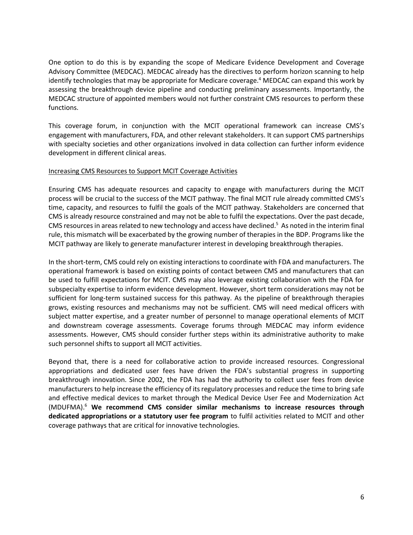One option to do this is by expanding the scope of Medicare Evidence Development and Coverage Advisory Committee (MEDCAC). MEDCAC already has the directives to perform horizon scanning to help identify technologies that may be appropriate for Medicare coverage.<sup>4</sup> MEDCAC can expand this work by assessing the breakthrough device pipeline and conducting preliminary assessments. Importantly, the MEDCAC structure of appointed members would not further constraint CMS resources to perform these functions.

This coverage forum, in conjunction with the MCIT operational framework can increase CMS's engagement with manufacturers, FDA, and other relevant stakeholders. It can support CMS partnerships with specialty societies and other organizations involved in data collection can further inform evidence development in different clinical areas.

### Increasing CMS Resources to Support MCIT Coverage Activities

Ensuring CMS has adequate resources and capacity to engage with manufacturers during the MCIT process will be crucial to the success of the MCIT pathway. The final MCIT rule already committed CMS's time, capacity, and resources to fulfil the goals of the MCIT pathway. Stakeholders are concerned that CMS is already resource constrained and may not be able to fulfil the expectations. Over the past decade, CMS resources in areas related to new technology and access have declined.<sup>5</sup> As noted in the interim final rule, this mismatch will be exacerbated by the growing number of therapies in the BDP. Programs like the MCIT pathway are likely to generate manufacturer interest in developing breakthrough therapies.

In the short-term, CMS could rely on existing interactions to coordinate with FDA and manufacturers. The operational framework is based on existing points of contact between CMS and manufacturers that can be used to fulfill expectations for MCIT. CMS may also leverage existing collaboration with the FDA for subspecialty expertise to inform evidence development. However, short term considerations may not be sufficient for long-term sustained success for this pathway. As the pipeline of breakthrough therapies grows, existing resources and mechanisms may not be sufficient. CMS will need medical officers with subject matter expertise, and a greater number of personnel to manage operational elements of MCIT and downstream coverage assessments. Coverage forums through MEDCAC may inform evidence assessments. However, CMS should consider further steps within its administrative authority to make such personnel shifts to support all MCIT activities.

Beyond that, there is a need for collaborative action to provide increased resources. Congressional appropriations and dedicated user fees have driven the FDA's substantial progress in supporting breakthrough innovation. Since 2002, the FDA has had the authority to collect user fees from device manufacturers to help increase the efficiency of its regulatory processes and reduce the time to bring safe and effective medical devices to market through the Medical Device User Fee and Modernization Act (MDUFMA).<sup>6</sup> **We recommend CMS consider similar mechanisms to increase resources through dedicated appropriations or a statutory user fee program** to fulfil activities related to MCIT and other coverage pathways that are critical for innovative technologies.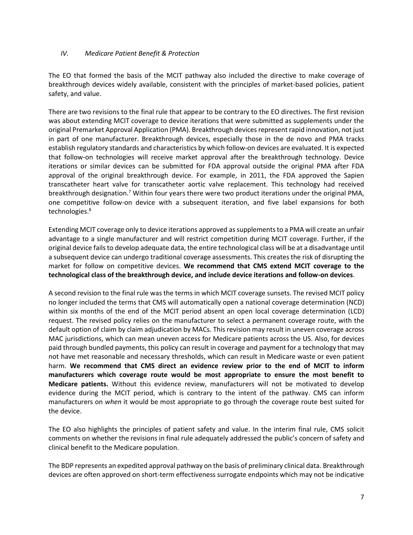### *IV. Medicare Patient Benefit & Protection*

The EO that formed the basis of the MCIT pathway also included the directive to make coverage of breakthrough devices widely available, consistent with the principles of market-based policies, patient safety, and value.

There are two revisions to the final rule that appear to be contrary to the EO directives. The first revision was about extending MCIT coverage to device iterations that were submitted as supplements under the original Premarket Approval Application (PMA). Breakthrough devices represent rapid innovation, not just in part of one manufacturer. Breakthrough devices, especially those in the de novo and PMA tracks establish regulatory standards and characteristics by which follow-on devices are evaluated. It is expected that follow-on technologies will receive market approval after the breakthrough technology. Device iterations or similar devices can be submitted for FDA approval outside the original PMA after FDA approval of the original breakthrough device. For example, in 2011, the FDA approved the Sapien transcatheter heart valve for transcatheter aortic valve replacement. This technology had received breakthrough designation.<sup>7</sup> Within four years there were two product iterations under the original PMA, one competitive follow-on device with a subsequent iteration, and five label expansions for both technologies.<sup>8</sup>

Extending MCIT coverage only to device iterations approved as supplements to a PMA will create an unfair advantage to a single manufacturer and will restrict competition during MCIT coverage. Further, if the original device fails to develop adequate data, the entire technological class will be at a disadvantage until a subsequent device can undergo traditional coverage assessments. This creates the risk of disrupting the market for follow on competitive devices. **We recommend that CMS extend MCIT coverage to the technological class of the breakthrough device, and include device iterations and follow-on devices**.

A second revision to the final rule was the terms in which MCIT coverage sunsets. The revised MCIT policy no longer included the terms that CMS will automatically open a national coverage determination (NCD) within six months of the end of the MCIT period absent an open local coverage determination (LCD) request. The revised policy relies on the manufacturer to select a permanent coverage route, with the default option of claim by claim adjudication by MACs. This revision may result in uneven coverage across MAC jurisdictions, which can mean uneven access for Medicare patients across the US. Also, for devices paid through bundled payments, this policy can result in coverage and payment for a technology that may not have met reasonable and necessary thresholds, which can result in Medicare waste or even patient harm. **We recommend that CMS direct an evidence review prior to the end of MCIT to inform manufacturers which coverage route would be most appropriate to ensure the most benefit to Medicare patients.** Without this evidence review, manufacturers will not be motivated to develop evidence during the MCIT period, which is contrary to the intent of the pathway. CMS can inform manufacturers on *when* it would be most appropriate to go through the coverage route best suited for the device.

The EO also highlights the principles of patient safety and value. In the interim final rule, CMS solicit comments on whether the revisions in final rule adequately addressed the public's concern of safety and clinical benefit to the Medicare population.

The BDP represents an expedited approval pathway on the basis of preliminary clinical data. Breakthrough devices are often approved on short-term effectiveness surrogate endpoints which may not be indicative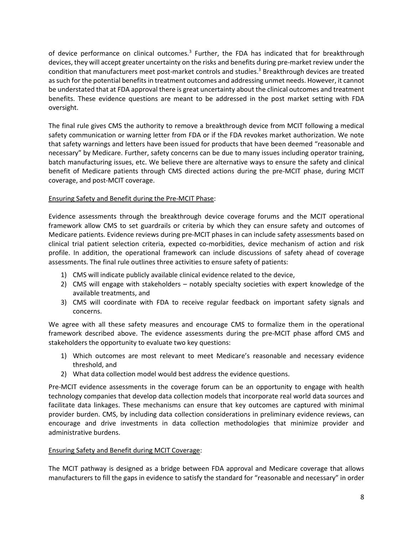of device performance on clinical outcomes.<sup>3</sup> Further, the FDA has indicated that for breakthrough devices, they will accept greater uncertainty on the risks and benefits during pre-market review under the condition that manufacturers meet post-market controls and studies.<sup>3</sup> Breakthrough devices are treated as such for the potential benefits in treatment outcomes and addressing unmet needs. However, it cannot be understated that at FDA approval there is great uncertainty about the clinical outcomes and treatment benefits. These evidence questions are meant to be addressed in the post market setting with FDA oversight.

The final rule gives CMS the authority to remove a breakthrough device from MCIT following a medical safety communication or warning letter from FDA or if the FDA revokes market authorization. We note that safety warnings and letters have been issued for products that have been deemed "reasonable and necessary" by Medicare. Further, safety concerns can be due to many issues including operator training, batch manufacturing issues, etc. We believe there are alternative ways to ensure the safety and clinical benefit of Medicare patients through CMS directed actions during the pre-MCIT phase, during MCIT coverage, and post-MCIT coverage.

### Ensuring Safety and Benefit during the Pre-MCIT Phase:

Evidence assessments through the breakthrough device coverage forums and the MCIT operational framework allow CMS to set guardrails or criteria by which they can ensure safety and outcomes of Medicare patients. Evidence reviews during pre-MCIT phases in can include safety assessments based on clinical trial patient selection criteria, expected co-morbidities, device mechanism of action and risk profile. In addition, the operational framework can include discussions of safety ahead of coverage assessments. The final rule outlines three activities to ensure safety of patients:

- 1) CMS will indicate publicly available clinical evidence related to the device,
- 2) CMS will engage with stakeholders notably specialty societies with expert knowledge of the available treatments, and
- 3) CMS will coordinate with FDA to receive regular feedback on important safety signals and concerns.

We agree with all these safety measures and encourage CMS to formalize them in the operational framework described above. The evidence assessments during the pre-MCIT phase afford CMS and stakeholders the opportunity to evaluate two key questions:

- 1) Which outcomes are most relevant to meet Medicare's reasonable and necessary evidence threshold, and
- 2) What data collection model would best address the evidence questions.

Pre-MCIT evidence assessments in the coverage forum can be an opportunity to engage with health technology companies that develop data collection models that incorporate real world data sources and facilitate data linkages. These mechanisms can ensure that key outcomes are captured with minimal provider burden. CMS, by including data collection considerations in preliminary evidence reviews, can encourage and drive investments in data collection methodologies that minimize provider and administrative burdens.

### Ensuring Safety and Benefit during MCIT Coverage:

The MCIT pathway is designed as a bridge between FDA approval and Medicare coverage that allows manufacturers to fill the gaps in evidence to satisfy the standard for "reasonable and necessary" in order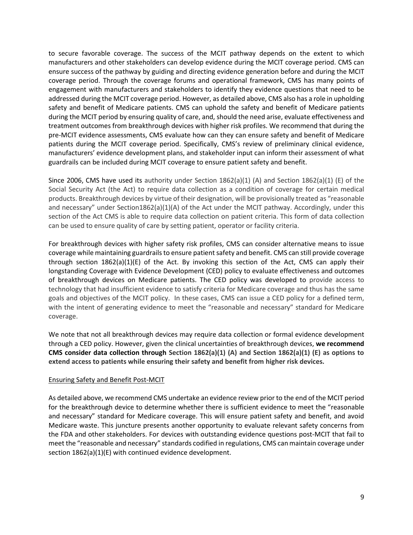to secure favorable coverage. The success of the MCIT pathway depends on the extent to which manufacturers and other stakeholders can develop evidence during the MCIT coverage period. CMS can ensure success of the pathway by guiding and directing evidence generation before and during the MCIT coverage period. Through the coverage forums and operational framework, CMS has many points of engagement with manufacturers and stakeholders to identify they evidence questions that need to be addressed during the MCIT coverage period. However, as detailed above, CMS also has a role in upholding safety and benefit of Medicare patients. CMS can uphold the safety and benefit of Medicare patients during the MCIT period by ensuring quality of care, and, should the need arise, evaluate effectiveness and treatment outcomes from breakthrough devices with higher risk profiles. We recommend that during the pre-MCIT evidence assessments, CMS evaluate how can they can ensure safety and benefit of Medicare patients during the MCIT coverage period. Specifically, CMS's review of preliminary clinical evidence, manufacturers' evidence development plans, and stakeholder input can inform their assessment of what guardrails can be included during MCIT coverage to ensure patient safety and benefit.

Since 2006, CMS have used its authority under Section  $1862(a)(1)$  (A) and Section  $1862(a)(1)$  (E) of the Social Security Act (the Act) to require data collection as a condition of coverage for certain medical products. Breakthrough devices by virtue of their designation, will be provisionally treated as "reasonable and necessary" under Section1862(a)(1)(A) of the Act under the MCIT pathway. Accordingly, under this section of the Act CMS is able to require data collection on patient criteria. This form of data collection can be used to ensure quality of care by setting patient, operator or facility criteria.

For breakthrough devices with higher safety risk profiles, CMS can consider alternative means to issue coverage while maintaining guardrails to ensure patient safety and benefit. CMS can still provide coverage through section  $1862(a)(1)(E)$  of the Act. By invoking this section of the Act, CMS can apply their longstanding Coverage with Evidence Development (CED) policy to evaluate effectiveness and outcomes of breakthrough devices on Medicare patients. The CED policy was developed to provide access to technology that had insufficient evidence to satisfy criteria for Medicare coverage and thus has the same goals and objectives of the MCIT policy. In these cases, CMS can issue a CED policy for a defined term, with the intent of generating evidence to meet the "reasonable and necessary" standard for Medicare coverage.

We note that not all breakthrough devices may require data collection or formal evidence development through a CED policy. However, given the clinical uncertainties of breakthrough devices, **we recommend CMS consider data collection through Section 1862(a)(1) (A) and Section 1862(a)(1) (E) as options to extend access to patients while ensuring their safety and benefit from higher risk devices.**

### Ensuring Safety and Benefit Post-MCIT

As detailed above, we recommend CMS undertake an evidence review prior to the end of the MCIT period for the breakthrough device to determine whether there is sufficient evidence to meet the "reasonable and necessary" standard for Medicare coverage. This will ensure patient safety and benefit, and avoid Medicare waste. This juncture presents another opportunity to evaluate relevant safety concerns from the FDA and other stakeholders. For devices with outstanding evidence questions post-MCIT that fail to meet the "reasonable and necessary" standards codified in regulations, CMS can maintain coverage under section 1862(a)(1)(E) with continued evidence development.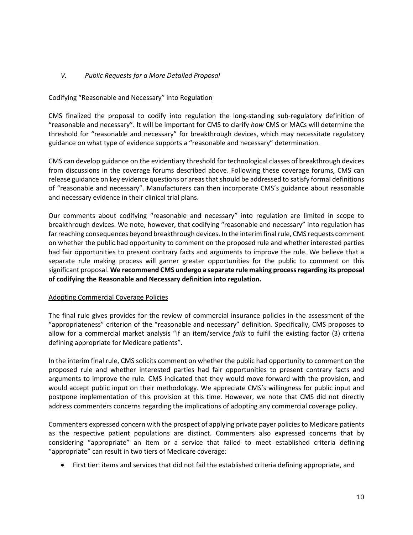### *V. Public Requests for a More Detailed Proposal*

### Codifying "Reasonable and Necessary" into Regulation

CMS finalized the proposal to codify into regulation the long-standing sub-regulatory definition of "reasonable and necessary". It will be important for CMS to clarify *how* CMS or MACs will determine the threshold for "reasonable and necessary" for breakthrough devices, which may necessitate regulatory guidance on what type of evidence supports a "reasonable and necessary" determination.

CMS can develop guidance on the evidentiary threshold for technological classes of breakthrough devices from discussions in the coverage forums described above. Following these coverage forums, CMS can release guidance on key evidence questions or areas that should be addressed to satisfy formal definitions of "reasonable and necessary". Manufacturers can then incorporate CMS's guidance about reasonable and necessary evidence in their clinical trial plans.

Our comments about codifying "reasonable and necessary" into regulation are limited in scope to breakthrough devices. We note, however, that codifying "reasonable and necessary" into regulation has far reaching consequences beyond breakthrough devices. In the interim final rule, CMS requests comment on whether the public had opportunity to comment on the proposed rule and whether interested parties had fair opportunities to present contrary facts and arguments to improve the rule. We believe that a separate rule making process will garner greater opportunities for the public to comment on this significant proposal. **We recommend CMS undergo a separate rule making process regarding its proposal of codifying the Reasonable and Necessary definition into regulation.**

### Adopting Commercial Coverage Policies

The final rule gives provides for the review of commercial insurance policies in the assessment of the "appropriateness" criterion of the "reasonable and necessary" definition. Specifically, CMS proposes to allow for a commercial market analysis "if an item/service *fails* to fulfil the existing factor (3) criteria defining appropriate for Medicare patients".

In the interim final rule, CMS solicits comment on whether the public had opportunity to comment on the proposed rule and whether interested parties had fair opportunities to present contrary facts and arguments to improve the rule. CMS indicated that they would move forward with the provision, and would accept public input on their methodology. We appreciate CMS's willingness for public input and postpone implementation of this provision at this time. However, we note that CMS did not directly address commenters concerns regarding the implications of adopting any commercial coverage policy.

Commenters expressed concern with the prospect of applying private payer policies to Medicare patients as the respective patient populations are distinct. Commenters also expressed concerns that by considering "appropriate" an item or a service that failed to meet established criteria defining "appropriate" can result in two tiers of Medicare coverage:

• First tier: items and services that did not fail the established criteria defining appropriate, and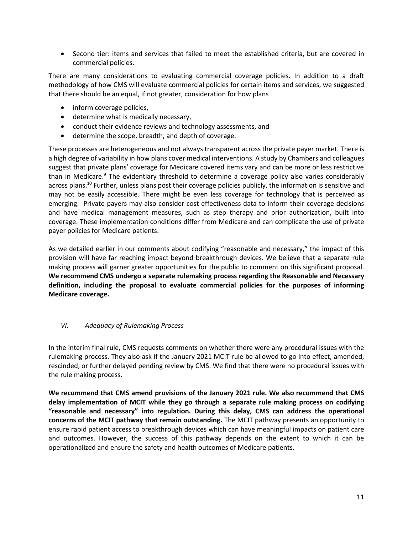• Second tier: items and services that failed to meet the established criteria, but are covered in commercial policies.

There are many considerations to evaluating commercial coverage policies. In addition to a draft methodology of how CMS will evaluate commercial policies for certain items and services, we suggested that there should be an equal, if not greater, consideration for how plans

- inform coverage policies,
- determine what is medically necessary,
- conduct their evidence reviews and technology assessments, and
- determine the scope, breadth, and depth of coverage.

These processes are heterogeneous and not always transparent across the private payer market. There is a high degree of variability in how plans cover medical interventions. A study by Chambers and colleagues suggest that private plans' coverage for Medicare covered items vary and can be more or less restrictive than in Medicare.<sup>9</sup> The evidentiary threshold to determine a coverage policy also varies considerably across plans.<sup>10</sup> Further, unless plans post their coverage policies publicly, the information is sensitive and may not be easily accessible. There might be even less coverage for technology that is perceived as emerging. Private payers may also consider cost effectiveness data to inform their coverage decisions and have medical management measures, such as step therapy and prior authorization, built into coverage. These implementation conditions differ from Medicare and can complicate the use of private payer policies for Medicare patients.

As we detailed earlier in our comments about codifying "reasonable and necessary," the impact of this provision will have far reaching impact beyond breakthrough devices. We believe that a separate rule making process will garner greater opportunities for the public to comment on this significant proposal. **We recommend CMS undergo a separate rulemaking process regarding the Reasonable and Necessary definition, including the proposal to evaluate commercial policies for the purposes of informing Medicare coverage.** 

### *VI. Adequacy of Rulemaking Process*

In the interim final rule, CMS requests comments on whether there were any procedural issues with the rulemaking process. They also ask if the January 2021 MCIT rule be allowed to go into effect, amended, rescinded, or further delayed pending review by CMS. We find that there were no procedural issues with the rule making process.

**We recommend that CMS amend provisions of the January 2021 rule. We also recommend that CMS delay implementation of MCIT while they go through a separate rule making process on codifying "reasonable and necessary" into regulation. During this delay, CMS can address the operational concerns of the MCIT pathway that remain outstanding.** The MCIT pathway presents an opportunity to ensure rapid patient access to breakthrough devices which can have meaningful impacts on patient care and outcomes. However, the success of this pathway depends on the extent to which it can be operationalized and ensure the safety and health outcomes of Medicare patients.